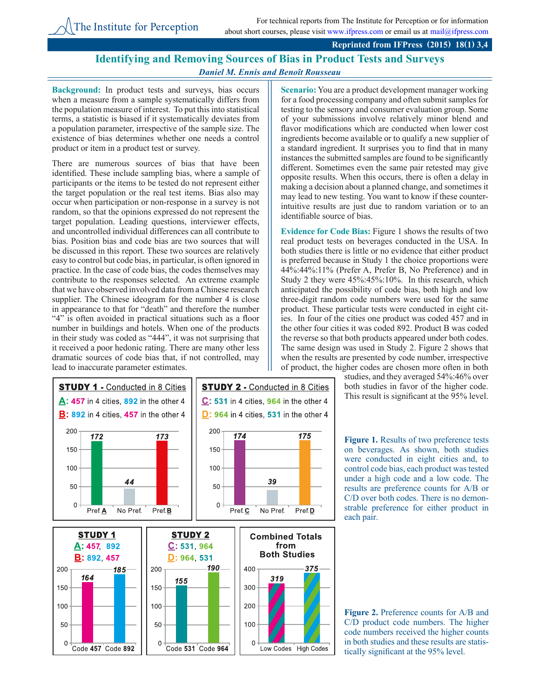## **Reprinted from IFPress (2015) 18(1) 3,4**

## **Identifying and Removing Sources of Bias in Product Tests and Surveys** *Daniel M. Ennis and Benoît Rousseau*

 $175$ 

**Background:** In product tests and surveys, bias occurs when a measure from a sample systematically differs from the population measure of interest. To put this into statistical terms, a statistic is biased if it systematically deviates from a population parameter, irrespective of the sample size. The existence of bias determines whether one needs a control product or item in a product test or survey.

There are numerous sources of bias that have been identified. These include sampling bias, where a sample of participants or the items to be tested do not represent either the target population or the real test items. Bias also may occur when participation or non-response in a survey is not random, so that the opinions expressed do not represent the target population. Leading questions, interviewer effects, and uncontrolled individual differences can all contribute to bias. Position bias and code bias are two sources that will be discussed in this report. These two sources are relatively easy to control but code bias, in particular, is often ignored in practice. In the case of code bias, the codes themselves may contribute to the responses selected. An extreme example that we have observed involved data from a Chinese research supplier. The Chinese ideogram for the number 4 is close in appearance to that for "death" and therefore the number "4" is often avoided in practical situations such as a floor number in buildings and hotels. When one of the products in their study was coded as "444", it was not surprising that it received a poor hedonic rating. There are many other less dramatic sources of code bias that, if not controlled, may lead to inaccurate parameter estimates.

200

150

100

50

 $\Omega$ 

**Scenario:** You are a product development manager working for a food processing company and often submit samples for testing to the sensory and consumer evaluation group. Some of your submissions involve relatively minor blend and flavor modifications which are conducted when lower cost ingredients become available or to qualify a new supplier of a standard ingredient. It surprises you to find that in many instances the submitted samples are found to be significantly different. Sometimes even the same pair retested may give opposite results. When this occurs, there is often a delay in making a decision about a planned change, and sometimes it may lead to new testing. You want to know if these counterintuitive results are just due to random variation or to an identifiable source of bias.

**Evidence for Code Bias:** Figure 1 shows the results of two real product tests on beverages conducted in the USA. In both studies there is little or no evidence that either product is preferred because in Study 1 the choice proportions were 44%:44%:11% (Prefer A, Prefer B, No Preference) and in Study 2 they were 45%:45%:10%. In this research, which anticipated the possibility of code bias, both high and low three-digit random code numbers were used for the same product. These particular tests were conducted in eight cities. In four of the cities one product was coded 457 and in the other four cities it was coded 892. Product B was coded the reverse so that both products appeared under both codes. The same design was used in Study 2. Figure 2 shows that when the results are presented by code number, irrespective of product, the higher codes are chosen more often in both

> studies, and they averaged 54%:46% over both studies in favor of the higher code. This result is significant at the 95% level.

> **Figure 1.** Results of two preference tests on beverages. As shown, both studies were conducted in eight cities and, to control code bias, each product was tested under a high code and a low code. The results are preference counts for A/B or C/D over both codes. There is no demonstrable preference for either product in each pair.





**STUDY 1 - Conducted in 8 Cities STUDY 2 - Conducted in 8 Cities**  $\mathbf{A}$ : 457 in 4 cities, 892 in the other 4  $C: 531$  in 4 cities, 964 in the other 4 **B:** 892 in 4 cities, 457 in the other 4 D: 964 in 4 cities, 531 in the other 4 200 172  $174$ 173 150 100 44 39 50

 $\Omega$